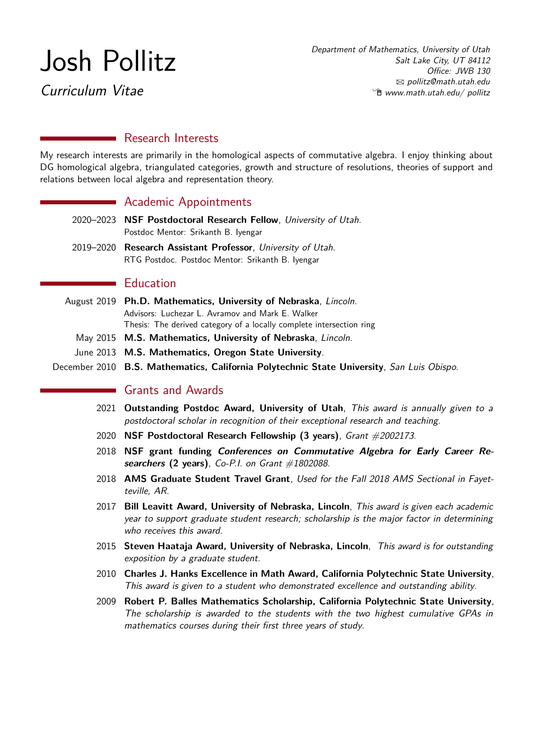# Josh Pollitz

# Curriculum Vitae

# **Research Interests**

My research interests are primarily in the homological aspects of commutative algebra. I enjoy thinking about DG homological algebra, triangulated categories, growth and structure of resolutions, theories of support and relations between local algebra and representation theory.

# **Academic Appointments**

- 2020–2023 **NSF Postdoctoral Research Fellow**, University of Utah. Postdoc Mentor: Srikanth B. Iyengar
- 2019–2020 **Research Assistant Professor**, University of Utah. RTG Postdoc. Postdoc Mentor: Srikanth B. Iyengar

# **Education**

- August 2019 **Ph.D. Mathematics, University of Nebraska**, Lincoln. Advisors: Luchezar L. Avramov and Mark E. Walker Thesis: The derived category of a locally complete intersection ring
	- May 2015 **M.S. Mathematics, University of Nebraska**, Lincoln.
	- June 2013 **M.S. Mathematics, Oregon State University**.
- December 2010 **B.S. Mathematics, California Polytechnic State University**, San Luis Obispo.

# **Grants and Awards**

- 2021 **Outstanding Postdoc Award, University of Utah**, This award is annually given to a postdoctoral scholar in recognition of their exceptional research and teaching.
- 2020 **NSF Postdoctoral Research Fellowship (3 years)**, Grant #2002173.
- 2018 **NSF grant funding Conferences on Commutative Algebra for Early Career Researchers (2 years)**, Co-P.I. on Grant #1802088.
- 2018 **AMS Graduate Student Travel Grant**, Used for the Fall 2018 AMS Sectional in Fayetteville, AR.
- 2017 **Bill Leavitt Award, University of Nebraska, Lincoln**, This award is given each academic year to support graduate student research; scholarship is the major factor in determining who receives this award.
- 2015 **Steven Haataja Award, University of Nebraska, Lincoln**, This award is for outstanding exposition by a graduate student.
- 2010 **Charles J. Hanks Excellence in Math Award, California Polytechnic State University**, This award is given to a student who demonstrated excellence and outstanding ability.
- 2009 **Robert P. Balles Mathematics Scholarship, California Polytechnic State University**, The scholarship is awarded to the students with the two highest cumulative GPAs in mathematics courses during their first three years of study.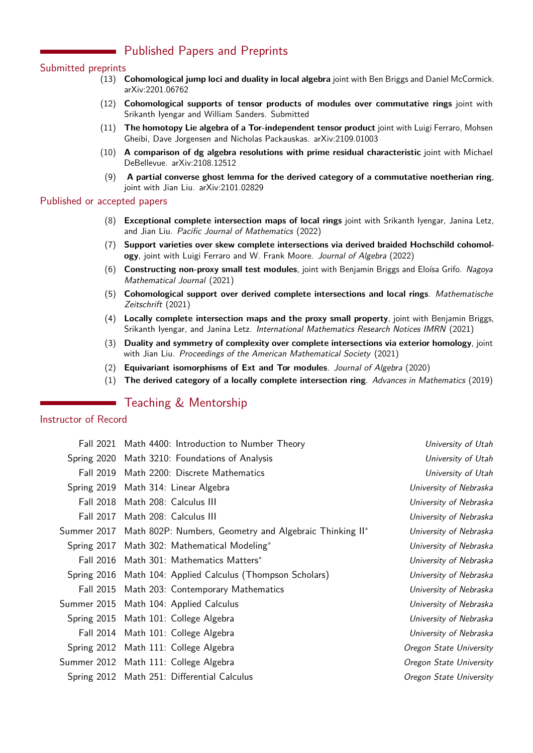# Published Papers and Preprints

#### Submitted preprints

- (13) **Cohomological jump loci and duality in local algebra** joint with Ben Briggs and Daniel McCormick. arXiv:2201.06762
- (12) **Cohomological supports of tensor products of modules over commutative rings** joint with Srikanth Iyengar and William Sanders. Submitted
- (11) **The homotopy Lie algebra of a Tor-independent tensor product** joint with Luigi Ferraro, Mohsen Gheibi, Dave Jorgensen and Nicholas Packauskas. arXiv:2109.01003
- (10) **A comparison of dg algebra resolutions with prime residual characteristic** joint with Michael DeBellevue. arXiv:2108.12512
- (9) **A partial converse ghost lemma for the derived category of a commutative noetherian ring**, joint with Jian Liu. arXiv:2101.02829

#### Published or accepted papers

- (8) **Exceptional complete intersection maps of local rings** joint with Srikanth Iyengar, Janina Letz, and Jian Liu. Pacific Journal of Mathematics (2022)
- (7) **Support varieties over skew complete intersections via derived braided Hochschild cohomology**, joint with Luigi Ferraro and W. Frank Moore. Journal of Algebra (2022)
- (6) **Constructing non-proxy small test modules**, joint with Benjamin Briggs and Eloísa Grifo. Nagoya Mathematical Journal (2021)
- (5) **Cohomological support over derived complete intersections and local rings**. Mathematische Zeitschrift (2021)
- (4) **Locally complete intersection maps and the proxy small property**, joint with Benjamin Briggs, Srikanth Iyengar, and Janina Letz. International Mathematics Research Notices IMRN (2021)
- (3) **Duality and symmetry of complexity over complete intersections via exterior homology**, joint with Jian Liu. Proceedings of the American Mathematical Society (2021)
- (2) **Equivariant isomorphisms of Ext and Tor modules**. Journal of Algebra (2020)
- (1) **The derived category of a locally complete intersection ring**. Advances in Mathematics (2019)

# Teaching & Mentorship

#### Instructor of Record

| Fall 2021        | Math 4400: Introduction to Number Theory                            | University of Utah      |
|------------------|---------------------------------------------------------------------|-------------------------|
|                  | Spring 2020 Math 3210: Foundations of Analysis                      | University of Utah      |
| <b>Fall 2019</b> | Math 2200: Discrete Mathematics                                     | University of Utah      |
|                  | Spring 2019 Math 314: Linear Algebra                                | University of Nebraska  |
| <b>Fall 2018</b> | Math 208: Calculus III                                              | University of Nebraska  |
| <b>Fall 2017</b> | Math 208: Calculus III                                              | University of Nebraska  |
|                  | Summer 2017 Math 802P: Numbers, Geometry and Algebraic Thinking II* | University of Nebraska  |
|                  | Spring 2017 Math 302: Mathematical Modeling*                        | University of Nebraska  |
| <b>Fall 2016</b> | Math 301: Mathematics Matters $^\ast$                               | University of Nebraska  |
|                  | Spring 2016 Math 104: Applied Calculus (Thompson Scholars)          | University of Nebraska  |
| Fall 2015        | Math 203: Contemporary Mathematics                                  | University of Nebraska  |
|                  | Summer 2015 Math 104: Applied Calculus                              | University of Nebraska  |
|                  | Spring 2015 Math 101: College Algebra                               | University of Nebraska  |
|                  | Fall 2014 Math 101: College Algebra                                 | University of Nebraska  |
|                  | Spring 2012 Math 111: College Algebra                               | Oregon State University |
|                  | Summer 2012 Math 111: College Algebra                               | Oregon State University |
|                  | Spring 2012 Math 251: Differential Calculus                         | Oregon State University |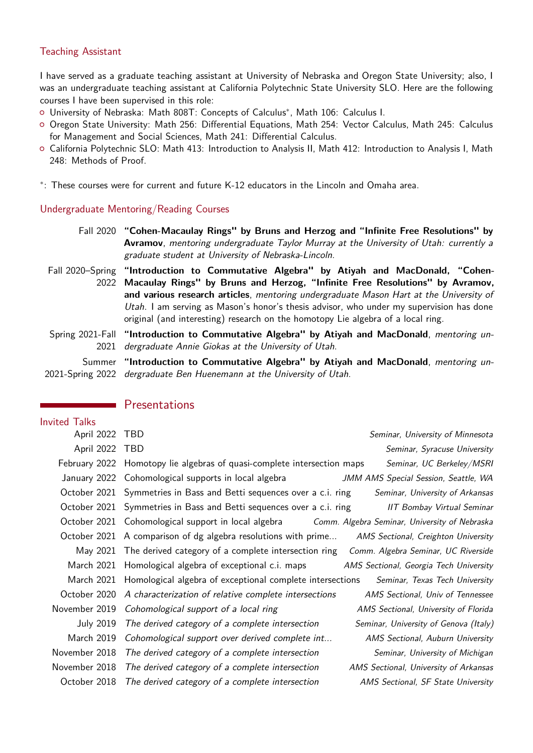#### Teaching Assistant

I have served as a graduate teaching assistant at University of Nebraska and Oregon State University; also, I was an undergraduate teaching assistant at California Polytechnic State University SLO. Here are the following courses I have been supervised in this role:

- { University of Nebraska: Math 808T: Concepts of Calculus<sup>∗</sup> , Math 106: Calculus I.
- { Oregon State University: Math 256: Differential Equations, Math 254: Vector Calculus, Math 245: Calculus for Management and Social Sciences, Math 241: Differential Calculus.
- { California Polytechnic SLO: Math 413: Introduction to Analysis II, Math 412: Introduction to Analysis I, Math 248: Methods of Proof.
- ∗ : These courses were for current and future K-12 educators in the Lincoln and Omaha area.

Undergraduate Mentoring/Reading Courses

- Fall 2020 **"Cohen-Macaulay Rings" by Bruns and Herzog and "Infinite Free Resolutions" by Avramov**, mentoring undergraduate Taylor Murray at the University of Utah: currently a graduate student at University of Nebraska-Lincoln.
- Fall 2020-Spring "Introduction to Commutative Algebra" by Atiyah and MacDonald, "Cohen-2022 **Macaulay Rings" by Bruns and Herzog, "Infinite Free Resolutions" by Avramov, and various research articles**, mentoring undergraduate Mason Hart at the University of Utah. I am serving as Mason's honor's thesis advisor, who under my supervision has done original (and interesting) research on the homotopy Lie algebra of a local ring.
- Spring 2021-Fall **"Introduction to Commutative Algebra" by Atiyah and MacDonald**, mentoring un-2021 dergraduate Annie Giokas at the University of Utah.
- Summer **"Introduction to Commutative Algebra" by Atiyah and MacDonald**, mentoring un-2021-Spring 2022 dergraduate Ben Huenemann at the University of Utah.

| <b>Invited Talks</b> |                                                                                                      |                                       |
|----------------------|------------------------------------------------------------------------------------------------------|---------------------------------------|
| April 2022 TBD       |                                                                                                      | Seminar, University of Minnesota      |
| April 2022 TBD       |                                                                                                      | Seminar, Syracuse University          |
|                      | February 2022 Homotopy lie algebras of quasi-complete intersection maps                              | Seminar, UC Berkeley/MSRI             |
|                      | January 2022 Cohomological supports in local algebra <b>MALU MANS</b> Special Session, Seattle, WA   |                                       |
|                      | October 2021 Symmetries in Bass and Betti sequences over a c.i. ring Seminar, University of Arkansas |                                       |
|                      | October 2021 Symmetries in Bass and Betti sequences over a c.i. ring The HIT Bombay Virtual Seminar  |                                       |
|                      | October 2021 Cohomological support in local algebra Comm. Algebra Seminar, University of Nebraska    |                                       |
|                      | October 2021 A comparison of dg algebra resolutions with prime AMS Sectional, Creighton University   |                                       |
|                      | May 2021 The derived category of a complete intersection ring Comm. Algebra Seminar, UC Riverside    |                                       |
|                      | March 2021 Homological algebra of exceptional c.i. maps MMS Sectional, Georgia Tech University       |                                       |
|                      | March 2021 Homological algebra of exceptional complete intersections Seminar, Texas Tech University  |                                       |
| October 2020         | A characterization of relative complete intersections                                                | AMS Sectional, Univ of Tennessee      |
| November 2019        | Cohomological support of a local ring                                                                | AMS Sectional, University of Florida  |
| July 2019            | The derived category of a complete intersection                                                      | Seminar, University of Genova (Italy) |
| March 2019           | Cohomological support over derived complete int                                                      | AMS Sectional, Auburn University      |
|                      | November 2018 The derived category of a complete intersection                                        | Seminar, University of Michigan       |
| November 2018        | The derived category of a complete intersection                                                      | AMS Sectional, University of Arkansas |
| October 2018         | The derived category of a complete intersection                                                      | AMS Sectional, SF State University    |
|                      |                                                                                                      |                                       |

### **Presentations**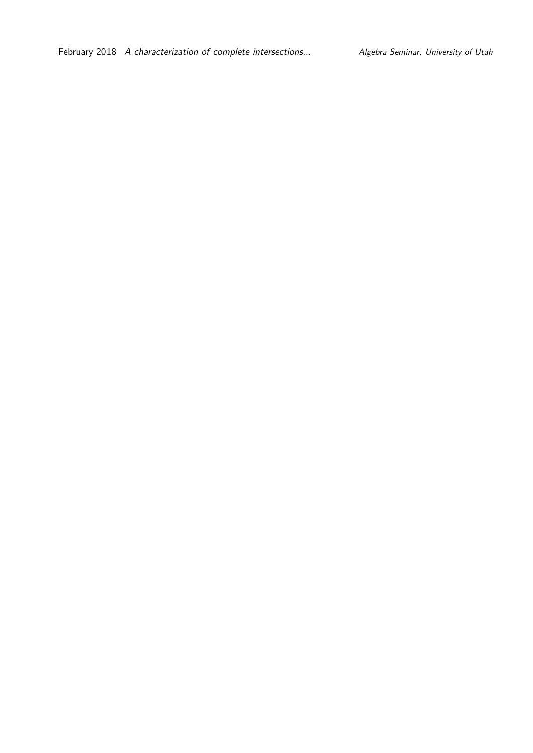February 2018 A characterization of complete intersections... Algebra Seminar, University of Utah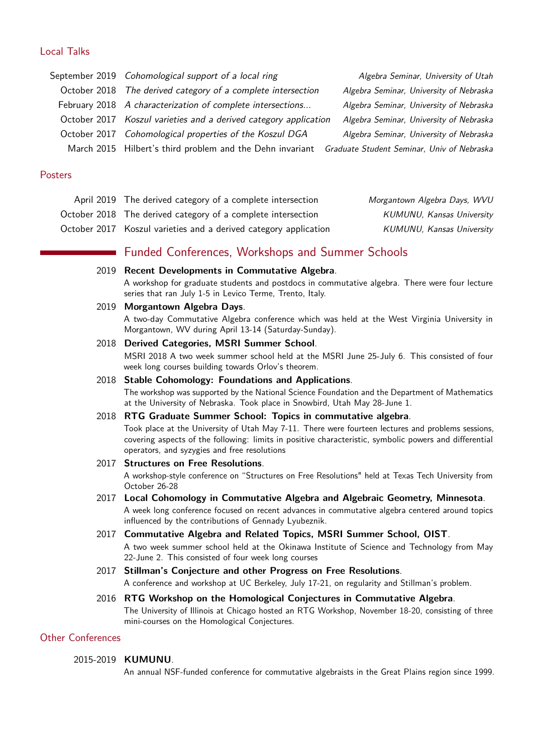#### Local Talks

| September 2019 Cohomological support of a local ring                                                 | Algebra Seminar, University of Utah     |
|------------------------------------------------------------------------------------------------------|-----------------------------------------|
| October 2018 The derived category of a complete intersection                                         | Algebra Seminar, University of Nebraska |
| February 2018 A characterization of complete intersections                                           | Algebra Seminar, University of Nebraska |
| October 2017 Koszul varieties and a derived category application                                     | Algebra Seminar, University of Nebraska |
| October 2017 Cohomological properties of the Koszul DGA                                              | Algebra Seminar, University of Nebraska |
| March 2015 Hilbert's third problem and the Dehn invariant Graduate Student Seminar, Univ of Nebraska |                                         |

#### Posters

| April 2019 The derived category of a complete intersection       | Morgantown Algebra Days, WVU     |
|------------------------------------------------------------------|----------------------------------|
| October 2018 The derived category of a complete intersection     | <b>KUMUNU, Kansas University</b> |
| October 2017 Koszul varieties and a derived category application | <b>KUMUNU, Kansas University</b> |

# Funded Conferences, Workshops and Summer Schools

2019 **Recent Developments in Commutative Algebra**. A workshop for graduate students and postdocs in commutative algebra. There were four lecture series that ran July 1-5 in Levico Terme, Trento, Italy.

#### 2019 **Morgantown Algebra Days**.

A two-day Commutative Algebra conference which was held at the West Virginia University in Morgantown, WV during April 13-14 (Saturday-Sunday).

- 2018 **Derived Categories, MSRI Summer School**. MSRI 2018 A two week summer school held at the MSRI June 25-July 6. This consisted of four week long courses building towards Orlov's theorem.
- 2018 **Stable Cohomology: Foundations and Applications**.

The workshop was supported by the National Science Foundation and the Department of Mathematics at the University of Nebraska. Took place in Snowbird, Utah May 28-June 1.

#### 2018 **RTG Graduate Summer School: Topics in commutative algebra**.

Took place at the University of Utah May 7-11. There were fourteen lectures and problems sessions, covering aspects of the following: limits in positive characteristic, symbolic powers and differential operators, and syzygies and free resolutions

#### 2017 **Structures on Free Resolutions**.

A workshop-style conference on "Structures on Free Resolutions" held at Texas Tech University from October 26-28

- 2017 **Local Cohomology in Commutative Algebra and Algebraic Geometry, Minnesota**. A week long conference focused on recent advances in commutative algebra centered around topics influenced by the contributions of Gennady Lyubeznik.
- 2017 **Commutative Algebra and Related Topics, MSRI Summer School, OIST**. A two week summer school held at the Okinawa Institute of Science and Technology from May 22-June 2. This consisted of four week long courses
- 2017 **Stillman's Conjecture and other Progress on Free Resolutions**. A conference and workshop at UC Berkeley, July 17-21, on regularity and Stillman's problem.
- 2016 **RTG Workshop on the Homological Conjectures in Commutative Algebra**. The University of Illinois at Chicago hosted an RTG Workshop, November 18-20, consisting of three mini-courses on the Homological Conjectures.

#### Other Conferences

#### 2015-2019 **KUMUNU**.

An annual NSF-funded conference for commutative algebraists in the Great Plains region since 1999.